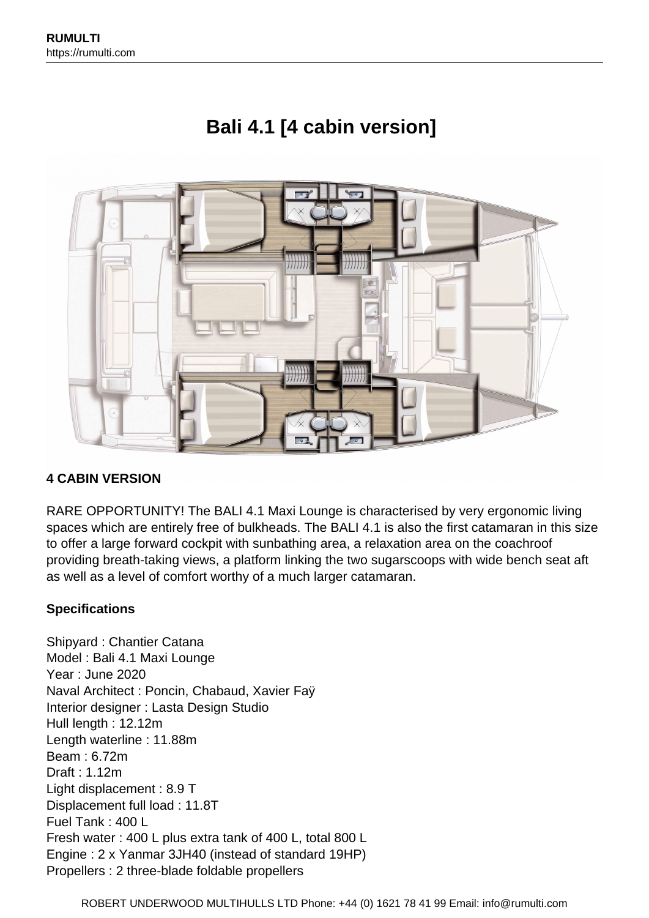

# **Bali 4.1 [4 cabin version]**

# **4 CABIN VERSION**

RARE OPPORTUNITY! The BALI 4.1 Maxi Lounge is characterised by very ergonomic living spaces which are entirely free of bulkheads. The BALI 4.1 is also the first catamaran in this size to offer a large forward cockpit with sunbathing area, a relaxation area on the coachroof providing breath-taking views, a platform linking the two sugarscoops with wide bench seat aft as well as a level of comfort worthy of a much larger catamaran.

# **Specifications**

Shipyard : Chantier Catana Model : Bali 4.1 Maxi Lounge Year : June 2020 Naval Architect : Poncin, Chabaud, Xavier Faÿ Interior designer : Lasta Design Studio Hull length : 12.12m Length waterline : 11.88m Beam : 6.72m Draft : 1.12m Light displacement : 8.9 T Displacement full load : 11.8T Fuel Tank : 400 L Fresh water : 400 L plus extra tank of 400 L, total 800 L Engine : 2 x Yanmar 3JH40 (instead of standard 19HP) Propellers : 2 three-blade foldable propellers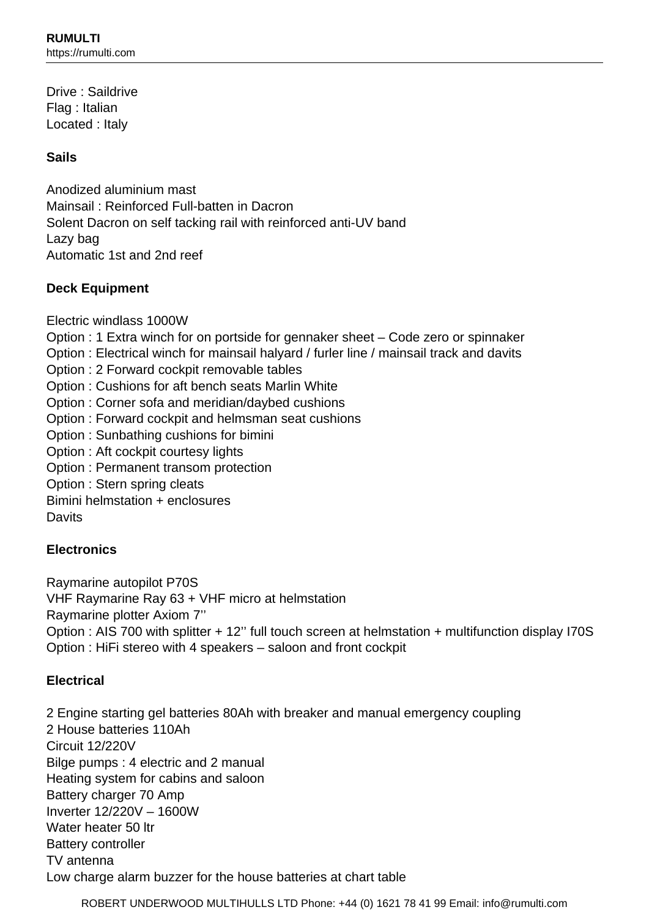Drive : Saildrive Flag : Italian Located : Italy

# **Sails**

Anodized aluminium mast Mainsail : Reinforced Full-batten in Dacron Solent Dacron on self tacking rail with reinforced anti-UV band Lazy bag Automatic 1st and 2nd reef

# **Deck Equipment**

Electric windlass 1000W

Option : 1 Extra winch for on portside for gennaker sheet – Code zero or spinnaker

Option : Electrical winch for mainsail halyard / furler line / mainsail track and davits

- Option : 2 Forward cockpit removable tables
- Option : Cushions for aft bench seats Marlin White
- Option : Corner sofa and meridian/daybed cushions
- Option : Forward cockpit and helmsman seat cushions
- Option : Sunbathing cushions for bimini
- Option : Aft cockpit courtesy lights
- Option : Permanent transom protection
- Option : Stern spring cleats

Bimini helmstation + enclosures

**Davits** 

# **Electronics**

Raymarine autopilot P70S VHF Raymarine Ray 63 + VHF micro at helmstation Raymarine plotter Axiom 7'' Option : AIS 700 with splitter + 12'' full touch screen at helmstation + multifunction display I70S Option : HiFi stereo with 4 speakers – saloon and front cockpit

# **Electrical**

2 Engine starting gel batteries 80Ah with breaker and manual emergency coupling 2 House batteries 110Ah Circuit 12/220V Bilge pumps : 4 electric and 2 manual Heating system for cabins and saloon Battery charger 70 Amp Inverter 12/220V – 1600W Water heater 50 ltr Battery controller TV antenna Low charge alarm buzzer for the house batteries at chart table